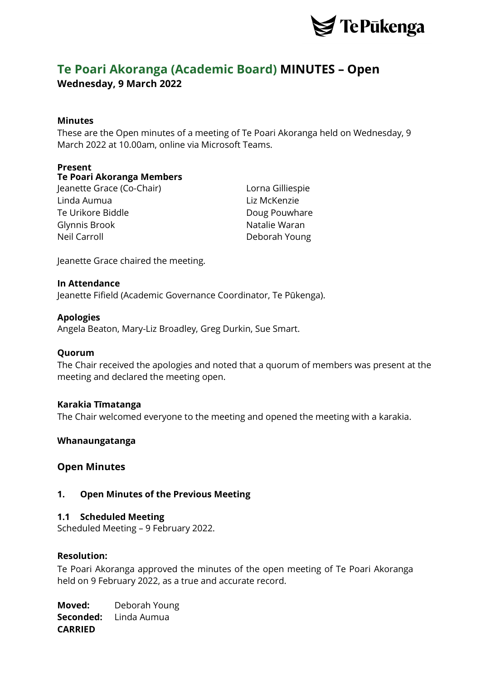

# **Te Poari Akoranga (Academic Board) MINUTES – Open Wednesday, 9 March 2022**

## **Minutes**

These are the Open minutes of a meeting of Te Poari Akoranga held on Wednesday, 9 March 2022 at 10.00am, online via Microsoft Teams.

## **Present**

## **Te Poari Akoranga Members**

Jeanette Grace (Co-Chair) Lorna Gilliespie Linda Aumua Liz McKenzie Te Urikore Biddle **Doug Pouwhare** Glynnis Brook Natalie Waran Neil Carroll **Deborah Young** 

Jeanette Grace chaired the meeting.

## **In Attendance**

Jeanette Fifield (Academic Governance Coordinator, Te Pūkenga).

## **Apologies**

Angela Beaton, Mary-Liz Broadley, Greg Durkin, Sue Smart.

## **Quorum**

The Chair received the apologies and noted that a quorum of members was present at the meeting and declared the meeting open.

## **Karakia Tīmatanga**

The Chair welcomed everyone to the meeting and opened the meeting with a karakia.

## **Whanaungatanga**

## **Open Minutes**

## **1. Open Minutes of the Previous Meeting**

## **1.1 Scheduled Meeting**

Scheduled Meeting – 9 February 2022.

## **Resolution:**

Te Poari Akoranga approved the minutes of the open meeting of Te Poari Akoranga held on 9 February 2022, as a true and accurate record.

**Moved:** Deborah Young **Seconded:** Linda Aumua **CARRIED**